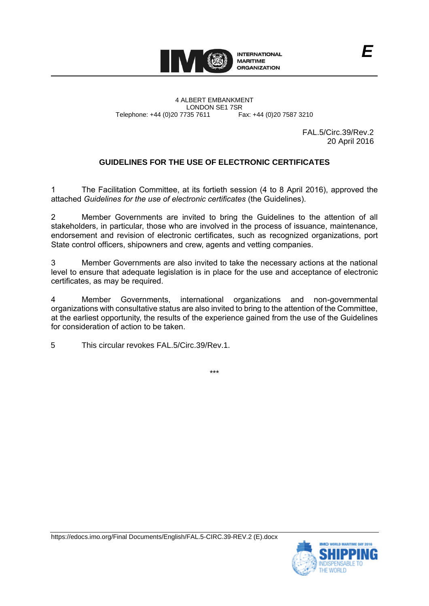

4 ALBERT EMBANKMENT Telephone: +44 (0)20 7735 7611

LONDON SE1 7SR<br>735 7611 Fax: +44 (0)20 7587 3210

FAL.5/Circ.39/Rev.2 20 April 2016

# **GUIDELINES FOR THE USE OF ELECTRONIC CERTIFICATES**

The Facilitation Committee, at its fortieth session (4 to 8 April 2016), approved the attached *Guidelines for the use of electronic certificates* (the Guidelines).

2 Member Governments are invited to bring the Guidelines to the attention of all stakeholders, in particular, those who are involved in the process of issuance, maintenance, endorsement and revision of electronic certificates, such as recognized organizations, port State control officers, shipowners and crew, agents and vetting companies.

3 Member Governments are also invited to take the necessary actions at the national level to ensure that adequate legislation is in place for the use and acceptance of electronic certificates, as may be required.

4 Member Governments, international organizations and non-governmental organizations with consultative status are also invited to bring to the attention of the Committee, at the earliest opportunity, the results of the experience gained from the use of the Guidelines for consideration of action to be taken.

5 This circular revokes FAL.5/Circ.39/Rev.1.

\*\*\*

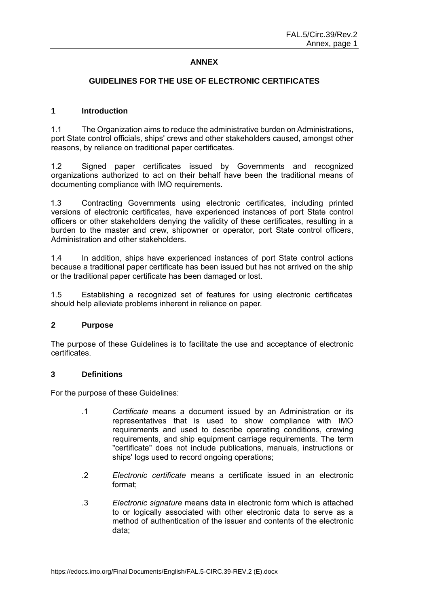## **ANNEX**

# **GUIDELINES FOR THE USE OF ELECTRONIC CERTIFICATES**

#### **1 Introduction**

1.1 The Organization aims to reduce the administrative burden on Administrations, port State control officials, ships' crews and other stakeholders caused, amongst other reasons, by reliance on traditional paper certificates.

1.2 Signed paper certificates issued by Governments and recognized organizations authorized to act on their behalf have been the traditional means of documenting compliance with IMO requirements.

1.3 Contracting Governments using electronic certificates, including printed versions of electronic certificates, have experienced instances of port State control officers or other stakeholders denying the validity of these certificates, resulting in a burden to the master and crew, shipowner or operator, port State control officers, Administration and other stakeholders.

1.4 In addition, ships have experienced instances of port State control actions because a traditional paper certificate has been issued but has not arrived on the ship or the traditional paper certificate has been damaged or lost.

1.5 Establishing a recognized set of features for using electronic certificates should help alleviate problems inherent in reliance on paper.

#### **2 Purpose**

The purpose of these Guidelines is to facilitate the use and acceptance of electronic certificates.

#### **3 Definitions**

For the purpose of these Guidelines:

- .1 *Certificate* means a document issued by an Administration or its representatives that is used to show compliance with IMO requirements and used to describe operating conditions, crewing requirements, and ship equipment carriage requirements. The term "certificate" does not include publications, manuals, instructions or ships' logs used to record ongoing operations;
- .2 *Electronic certificate* means a certificate issued in an electronic format;
- .3 *Electronic signature* means data in electronic form which is attached to or logically associated with other electronic data to serve as a method of authentication of the issuer and contents of the electronic data;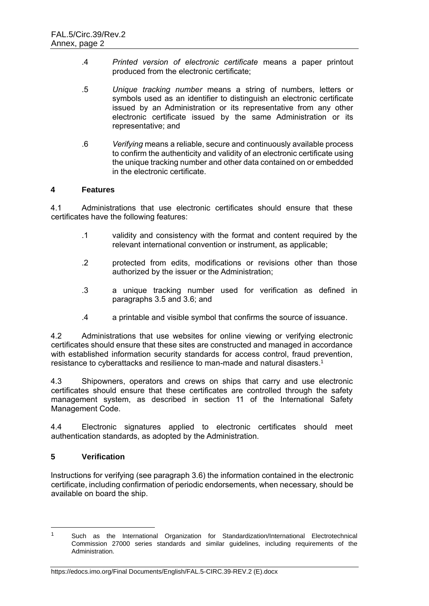- .4 *Printed version of electronic certificate* means a paper printout produced from the electronic certificate;
- .5 *Unique tracking number* means a string of numbers, letters or symbols used as an identifier to distinguish an electronic certificate issued by an Administration or its representative from any other electronic certificate issued by the same Administration or its representative; and
- .6 *Verifying* means a reliable, secure and continuously available process to confirm the authenticity and validity of an electronic certificate using the unique tracking number and other data contained on or embedded in the electronic certificate.

## **4 Features**

4.1 Administrations that use electronic certificates should ensure that these certificates have the following features:

- .1 validity and consistency with the format and content required by the relevant international convention or instrument, as applicable;
- .2 protected from edits, modifications or revisions other than those authorized by the issuer or the Administration;
- .3 a unique tracking number used for verification as defined in paragraphs 3.5 and 3.6; and
- .4 a printable and visible symbol that confirms the source of issuance.

4.2 Administrations that use websites for online viewing or verifying electronic certificates should ensure that these sites are constructed and managed in accordance with established information security standards for access control, fraud prevention, resistance to cyberattacks and resilience to man-made and natural disasters. 1

4.3 Shipowners, operators and crews on ships that carry and use electronic certificates should ensure that these certificates are controlled through the safety management system, as described in section 11 of the International Safety Management Code.

4.4 Electronic signatures applied to electronic certificates should meet authentication standards, as adopted by the Administration.

# **5 Verification**

-

Instructions for verifying (see paragraph 3.6) the information contained in the electronic certificate, including confirmation of periodic endorsements, when necessary, should be available on board the ship.

<sup>&</sup>lt;sup>1</sup> Such as the International Organization for Standardization/International Electrotechnical Commission 27000 series standards and similar guidelines, including requirements of the Administration.